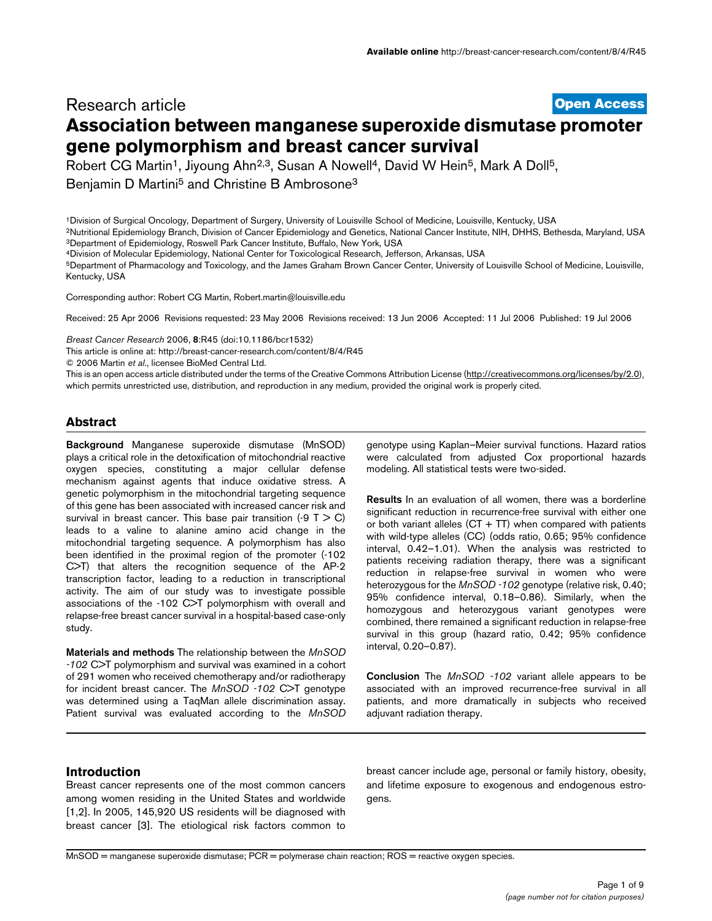## **[Open Access](http://www.biomedcentral.com/info/about/charter/)** Research article **Association between manganese superoxide dismutase promoter gene polymorphism and breast cancer survival**

Robert CG Martin<sup>1</sup>, Jiyoung Ahn<sup>2,3</sup>, Susan A Nowell<sup>4</sup>, David W Hein<sup>5</sup>, Mark A Doll<sup>5</sup>,

Benjamin D Martini<sup>5</sup> and Christine B Ambrosone<sup>3</sup>

1Division of Surgical Oncology, Department of Surgery, University of Louisville School of Medicine, Louisville, Kentucky, USA 2Nutritional Epidemiology Branch, Division of Cancer Epidemiology and Genetics, National Cancer Institute, NIH, DHHS, Bethesda, Maryland, USA 3Department of Epidemiology, Roswell Park Cancer Institute, Buffalo, New York, USA

4Division of Molecular Epidemiology, National Center for Toxicological Research, Jefferson, Arkansas, USA

5Department of Pharmacology and Toxicology, and the James Graham Brown Cancer Center, University of Louisville School of Medicine, Louisville, Kentucky, USA

Corresponding author: Robert CG Martin, Robert.martin@louisville.edu

Received: 25 Apr 2006 Revisions requested: 23 May 2006 Revisions received: 13 Jun 2006 Accepted: 11 Jul 2006 Published: 19 Jul 2006

*Breast Cancer Research* 2006, **8**:R45 (doi:10.1186/bcr1532)

[This article is online at: http://breast-cancer-research.com/content/8/4/R45](http://breast-cancer-research.com/content/8/4/R45)

© 2006 Martin *et al*., licensee BioMed Central Ltd.

This is an open access article distributed under the terms of the Creative Commons Attribution License [\(http://creativecommons.org/licenses/by/2.0\)](http://creativecommons.org/licenses/by/2.0), which permits unrestricted use, distribution, and reproduction in any medium, provided the original work is properly cited.

## **Abstract**

**Background** Manganese superoxide dismutase (MnSOD) plays a critical role in the detoxification of mitochondrial reactive oxygen species, constituting a major cellular defense mechanism against agents that induce oxidative stress. A genetic polymorphism in the mitochondrial targeting sequence of this gene has been associated with increased cancer risk and survival in breast cancer. This base pair transition  $(-9 \tT > C)$ leads to a valine to alanine amino acid change in the mitochondrial targeting sequence. A polymorphism has also been identified in the proximal region of the promoter (-102 C>T) that alters the recognition sequence of the AP-2 transcription factor, leading to a reduction in transcriptional activity. The aim of our study was to investigate possible associations of the -102 C>T polymorphism with overall and relapse-free breast cancer survival in a hospital-based case-only study.

**Materials and methods** The relationship between the *MnSOD -102* C>T polymorphism and survival was examined in a cohort of 291 women who received chemotherapy and/or radiotherapy for incident breast cancer. The *MnSOD -102* C>T genotype was determined using a TaqMan allele discrimination assay. Patient survival was evaluated according to the *MnSOD*

genotype using Kaplan–Meier survival functions. Hazard ratios were calculated from adjusted Cox proportional hazards modeling. All statistical tests were two-sided.

**Results** In an evaluation of all women, there was a borderline significant reduction in recurrence-free survival with either one or both variant alleles  $(CT + TT)$  when compared with patients with wild-type alleles (CC) (odds ratio, 0.65; 95% confidence interval, 0.42–1.01). When the analysis was restricted to patients receiving radiation therapy, there was a significant reduction in relapse-free survival in women who were heterozygous for the *MnSOD -102* genotype (relative risk, 0.40; 95% confidence interval, 0.18–0.86). Similarly, when the homozygous and heterozygous variant genotypes were combined, there remained a significant reduction in relapse-free survival in this group (hazard ratio, 0.42; 95% confidence interval, 0.20–0.87).

**Conclusion** The *MnSOD -102* variant allele appears to be associated with an improved recurrence-free survival in all patients, and more dramatically in subjects who received adjuvant radiation therapy.

## **Introduction**

Breast cancer represents one of the most common cancers among women residing in the United States and worldwide [1,2]. In 2005, 145,920 US residents will be diagnosed with breast cancer [3]. The etiological risk factors common to

breast cancer include age, personal or family history, obesity, and lifetime exposure to exogenous and endogenous estrogens.

MnSOD = manganese superoxide dismutase; PCR = polymerase chain reaction; ROS = reactive oxygen species.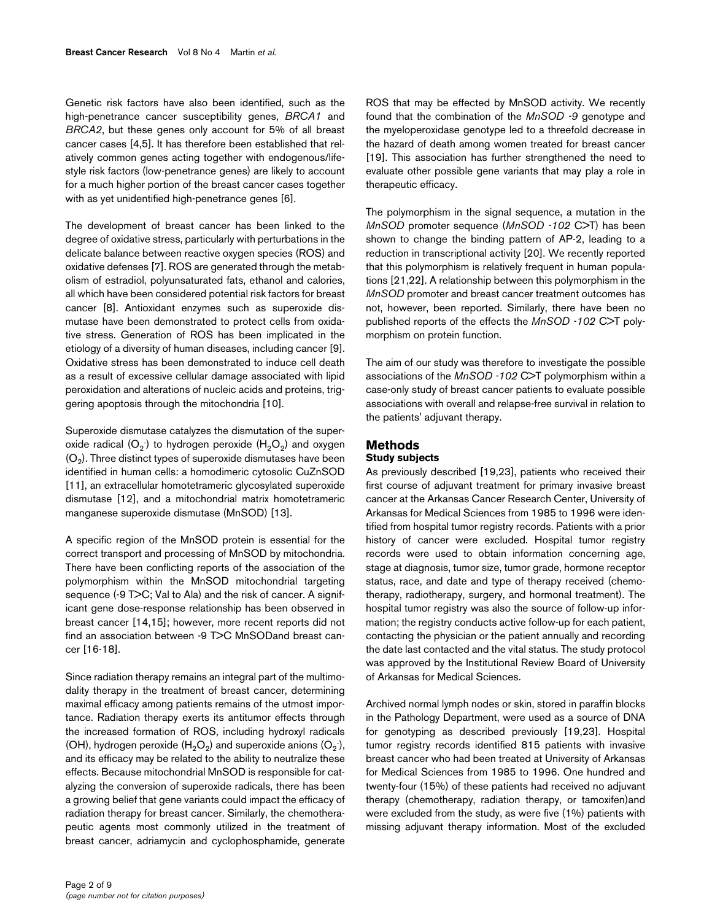Genetic risk factors have also been identified, such as the high-penetrance cancer susceptibility genes, *BRCA1* and *BRCA2*, but these genes only account for 5% of all breast cancer cases [4,5]. It has therefore been established that relatively common genes acting together with endogenous/lifestyle risk factors (low-penetrance genes) are likely to account for a much higher portion of the breast cancer cases together with as yet unidentified high-penetrance genes [6].

The development of breast cancer has been linked to the degree of oxidative stress, particularly with perturbations in the delicate balance between reactive oxygen species (ROS) and oxidative defenses [7]. ROS are generated through the metabolism of estradiol, polyunsaturated fats, ethanol and calories, all which have been considered potential risk factors for breast cancer [8]. Antioxidant enzymes such as superoxide dismutase have been demonstrated to protect cells from oxidative stress. Generation of ROS has been implicated in the etiology of a diversity of human diseases, including cancer [9]. Oxidative stress has been demonstrated to induce cell death as a result of excessive cellular damage associated with lipid peroxidation and alterations of nucleic acids and proteins, triggering apoptosis through the mitochondria [10].

Superoxide dismutase catalyzes the dismutation of the superoxide radical (O $_2$ ) to hydrogen peroxide (H $_2$ O $_2$ ) and oxygen  $(O<sub>2</sub>)$ . Three distinct types of superoxide dismutases have been identified in human cells: a homodimeric cytosolic CuZnSOD [11], an extracellular homotetrameric glycosylated superoxide dismutase [12], and a mitochondrial matrix homotetrameric manganese superoxide dismutase (MnSOD) [13].

A specific region of the MnSOD protein is essential for the correct transport and processing of MnSOD by mitochondria. There have been conflicting reports of the association of the polymorphism within the MnSOD mitochondrial targeting sequence (-9 T>C; Val to Ala) and the risk of cancer. A significant gene dose-response relationship has been observed in breast cancer [14,15]; however, more recent reports did not find an association between -9 T>C MnSODand breast cancer [16-18].

Since radiation therapy remains an integral part of the multimodality therapy in the treatment of breast cancer, determining maximal efficacy among patients remains of the utmost importance. Radiation therapy exerts its antitumor effects through the increased formation of ROS, including hydroxyl radicals (OH), hydrogen peroxide (H<sub>2</sub>O<sub>2</sub>) and superoxide anions (O<sub>2</sub><sup>-</sup>), and its efficacy may be related to the ability to neutralize these effects. Because mitochondrial MnSOD is responsible for catalyzing the conversion of superoxide radicals, there has been a growing belief that gene variants could impact the efficacy of radiation therapy for breast cancer. Similarly, the chemotherapeutic agents most commonly utilized in the treatment of breast cancer, adriamycin and cyclophosphamide, generate ROS that may be effected by MnSOD activity. We recently found that the combination of the *MnSOD -9* genotype and the myeloperoxidase genotype led to a threefold decrease in the hazard of death among women treated for breast cancer [19]. This association has further strengthened the need to evaluate other possible gene variants that may play a role in therapeutic efficacy.

The polymorphism in the signal sequence, a mutation in the *MnSOD* promoter sequence (*MnSOD -102* C>T) has been shown to change the binding pattern of AP-2, leading to a reduction in transcriptional activity [20]. We recently reported that this polymorphism is relatively frequent in human populations [21,22]. A relationship between this polymorphism in the *MnSOD* promoter and breast cancer treatment outcomes has not, however, been reported. Similarly, there have been no published reports of the effects the *MnSOD -102* C>T polymorphism on protein function.

The aim of our study was therefore to investigate the possible associations of the *MnSOD -102* C>T polymorphism within a case-only study of breast cancer patients to evaluate possible associations with overall and relapse-free survival in relation to the patients' adjuvant therapy.

# **Methods**

## **Study subjects**

As previously described [19,23], patients who received their first course of adjuvant treatment for primary invasive breast cancer at the Arkansas Cancer Research Center, University of Arkansas for Medical Sciences from 1985 to 1996 were identified from hospital tumor registry records. Patients with a prior history of cancer were excluded. Hospital tumor registry records were used to obtain information concerning age, stage at diagnosis, tumor size, tumor grade, hormone receptor status, race, and date and type of therapy received (chemotherapy, radiotherapy, surgery, and hormonal treatment). The hospital tumor registry was also the source of follow-up information; the registry conducts active follow-up for each patient, contacting the physician or the patient annually and recording the date last contacted and the vital status. The study protocol was approved by the Institutional Review Board of University of Arkansas for Medical Sciences.

Archived normal lymph nodes or skin, stored in paraffin blocks in the Pathology Department, were used as a source of DNA for genotyping as described previously [19,23]. Hospital tumor registry records identified 815 patients with invasive breast cancer who had been treated at University of Arkansas for Medical Sciences from 1985 to 1996. One hundred and twenty-four (15%) of these patients had received no adjuvant therapy (chemotherapy, radiation therapy, or tamoxifen)and were excluded from the study, as were five (1%) patients with missing adjuvant therapy information. Most of the excluded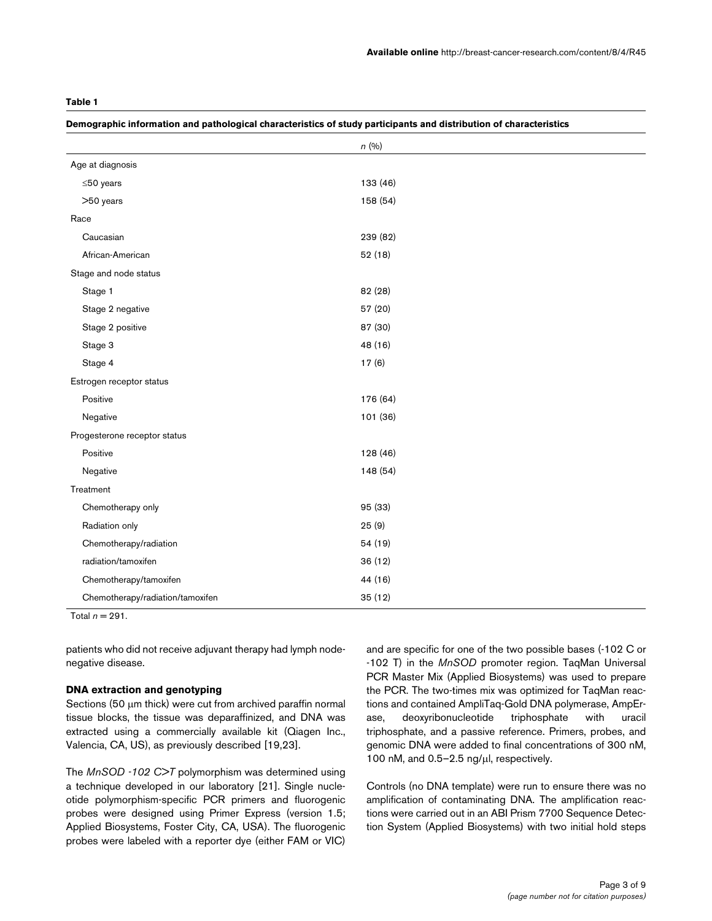#### **Demographic information and pathological characteristics of study participants and distribution of characteristics**

|                                  | n(%)     |
|----------------------------------|----------|
| Age at diagnosis                 |          |
| $≤50$ years                      | 133 (46) |
| >50 years                        | 158 (54) |
| Race                             |          |
| Caucasian                        | 239 (82) |
| African-American                 | 52(18)   |
| Stage and node status            |          |
| Stage 1                          | 82 (28)  |
| Stage 2 negative                 | 57 (20)  |
| Stage 2 positive                 | 87 (30)  |
| Stage 3                          | 48 (16)  |
| Stage 4                          | 17(6)    |
| Estrogen receptor status         |          |
| Positive                         | 176 (64) |
| Negative                         | 101 (36) |
| Progesterone receptor status     |          |
| Positive                         | 128 (46) |
| Negative                         | 148 (54) |
| Treatment                        |          |
| Chemotherapy only                | 95 (33)  |
| Radiation only                   | 25(9)    |
| Chemotherapy/radiation           | 54 (19)  |
| radiation/tamoxifen              | 36(12)   |
| Chemotherapy/tamoxifen           | 44 (16)  |
| Chemotherapy/radiation/tamoxifen | 35 (12)  |

Total  $n = 291$ .

patients who did not receive adjuvant therapy had lymph nodenegative disease.

## **DNA extraction and genotyping**

Sections (50 µm thick) were cut from archived paraffin normal tissue blocks, the tissue was deparaffinized, and DNA was extracted using a commercially available kit (Qiagen Inc., Valencia, CA, US), as previously described [19,23].

The *MnSOD -102 C>T* polymorphism was determined using a technique developed in our laboratory [21]. Single nucleotide polymorphism-specific PCR primers and fluorogenic probes were designed using Primer Express (version 1.5; Applied Biosystems, Foster City, CA, USA). The fluorogenic probes were labeled with a reporter dye (either FAM or VIC) and are specific for one of the two possible bases (-102 C or -102 T) in the *MnSOD* promoter region. TaqMan Universal PCR Master Mix (Applied Biosystems) was used to prepare the PCR. The two-times mix was optimized for TaqMan reactions and contained AmpliTaq-Gold DNA polymerase, AmpErase, deoxyribonucleotide triphosphate with uracil triphosphate, and a passive reference. Primers, probes, and genomic DNA were added to final concentrations of 300 nM, 100 nM, and 0.5–2.5 ng/µl, respectively.

Controls (no DNA template) were run to ensure there was no amplification of contaminating DNA. The amplification reactions were carried out in an ABI Prism 7700 Sequence Detection System (Applied Biosystems) with two initial hold steps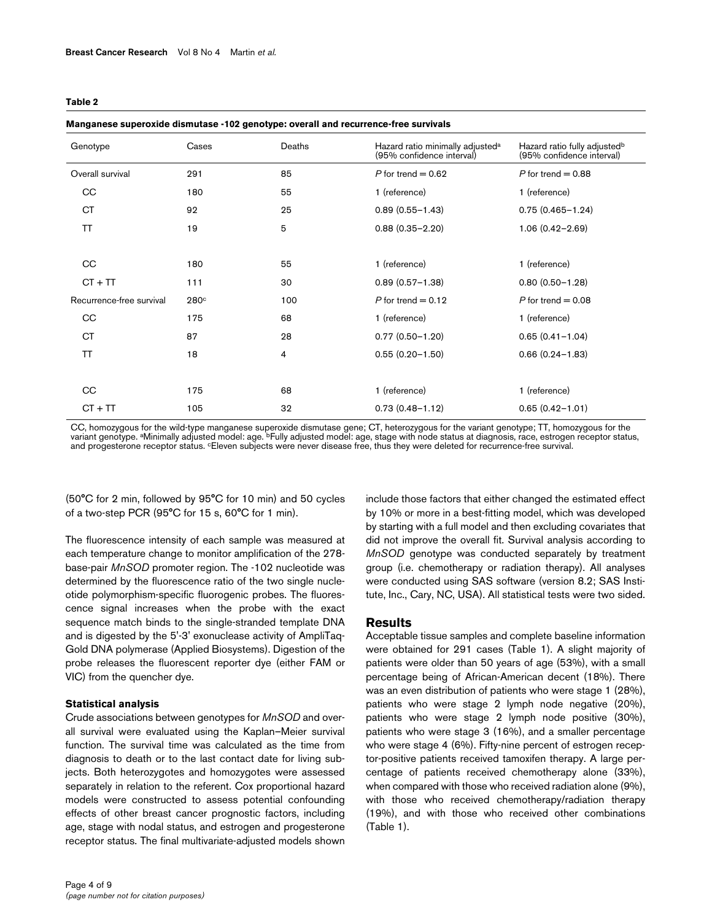|--|--|--|

#### **Manganese superoxide dismutase -102 genotype: overall and recurrence-free survivals**

| Genotype                 | Cases | Deaths | Hazard ratio minimally adjusted <sup>a</sup><br>(95% confidence interval) | Hazard ratio fully adjusted <sup>b</sup><br>(95% confidence interval) |
|--------------------------|-------|--------|---------------------------------------------------------------------------|-----------------------------------------------------------------------|
| Overall survival         | 291   | 85     | $P$ for trend = 0.62                                                      | $P$ for trend = 0.88                                                  |
| CC                       | 180   | 55     | 1 (reference)                                                             | 1 (reference)                                                         |
| <b>CT</b>                | 92    | 25     | $0.89(0.55 - 1.43)$                                                       | $0.75(0.465 - 1.24)$                                                  |
| <b>TT</b>                | 19    | 5      | $0.88(0.35 - 2.20)$                                                       | $1.06(0.42 - 2.69)$                                                   |
|                          |       |        |                                                                           |                                                                       |
| CC                       | 180   | 55     | 1 (reference)                                                             | 1 (reference)                                                         |
| $CT + TT$                | 111   | 30     | $0.89(0.57 - 1.38)$                                                       | $0.80(0.50 - 1.28)$                                                   |
| Recurrence-free survival | 280c  | 100    | $P$ for trend = 0.12                                                      | P for trend $= 0.08$                                                  |
| CC                       | 175   | 68     | 1 (reference)                                                             | 1 (reference)                                                         |
| <b>CT</b>                | 87    | 28     | $0.77(0.50 - 1.20)$                                                       | $0.65(0.41 - 1.04)$                                                   |
| ΤT                       | 18    | 4      | $0.55(0.20 - 1.50)$                                                       | $0.66(0.24 - 1.83)$                                                   |
|                          |       |        |                                                                           |                                                                       |
| CC                       | 175   | 68     | 1 (reference)                                                             | 1 (reference)                                                         |
| $CT + TT$                | 105   | 32     | $0.73(0.48 - 1.12)$                                                       | $0.65(0.42 - 1.01)$                                                   |

CC, homozygous for the wild-type manganese superoxide dismutase gene; CT, heterozygous for the variant genotype; TT, homozygous for the<br>variant genotype. ªMinimally adjusted model: age. <sup>b</sup>Fully adjusted model: age, stage

(50°C for 2 min, followed by 95°C for 10 min) and 50 cycles of a two-step PCR (95°C for 15 s, 60°C for 1 min).

The fluorescence intensity of each sample was measured at each temperature change to monitor amplification of the 278 base-pair *MnSOD* promoter region. The -102 nucleotide was determined by the fluorescence ratio of the two single nucleotide polymorphism-specific fluorogenic probes. The fluorescence signal increases when the probe with the exact sequence match binds to the single-stranded template DNA and is digested by the 5'-3' exonuclease activity of AmpliTaq-Gold DNA polymerase (Applied Biosystems). Digestion of the probe releases the fluorescent reporter dye (either FAM or VIC) from the quencher dye.

## **Statistical analysis**

Crude associations between genotypes for *MnSOD* and overall survival were evaluated using the Kaplan–Meier survival function. The survival time was calculated as the time from diagnosis to death or to the last contact date for living subjects. Both heterozygotes and homozygotes were assessed separately in relation to the referent. Cox proportional hazard models were constructed to assess potential confounding effects of other breast cancer prognostic factors, including age, stage with nodal status, and estrogen and progesterone receptor status. The final multivariate-adjusted models shown include those factors that either changed the estimated effect by 10% or more in a best-fitting model, which was developed by starting with a full model and then excluding covariates that did not improve the overall fit. Survival analysis according to *MnSOD* genotype was conducted separately by treatment group (i.e. chemotherapy or radiation therapy). All analyses were conducted using SAS software (version 8.2; SAS Institute, Inc., Cary, NC, USA). All statistical tests were two sided.

#### **Results**

Acceptable tissue samples and complete baseline information were obtained for 291 cases (Table 1). A slight majority of patients were older than 50 years of age (53%), with a small percentage being of African-American decent (18%). There was an even distribution of patients who were stage 1 (28%), patients who were stage 2 lymph node negative (20%), patients who were stage 2 lymph node positive (30%), patients who were stage 3 (16%), and a smaller percentage who were stage 4 (6%). Fifty-nine percent of estrogen receptor-positive patients received tamoxifen therapy. A large percentage of patients received chemotherapy alone (33%), when compared with those who received radiation alone (9%), with those who received chemotherapy/radiation therapy (19%), and with those who received other combinations (Table 1).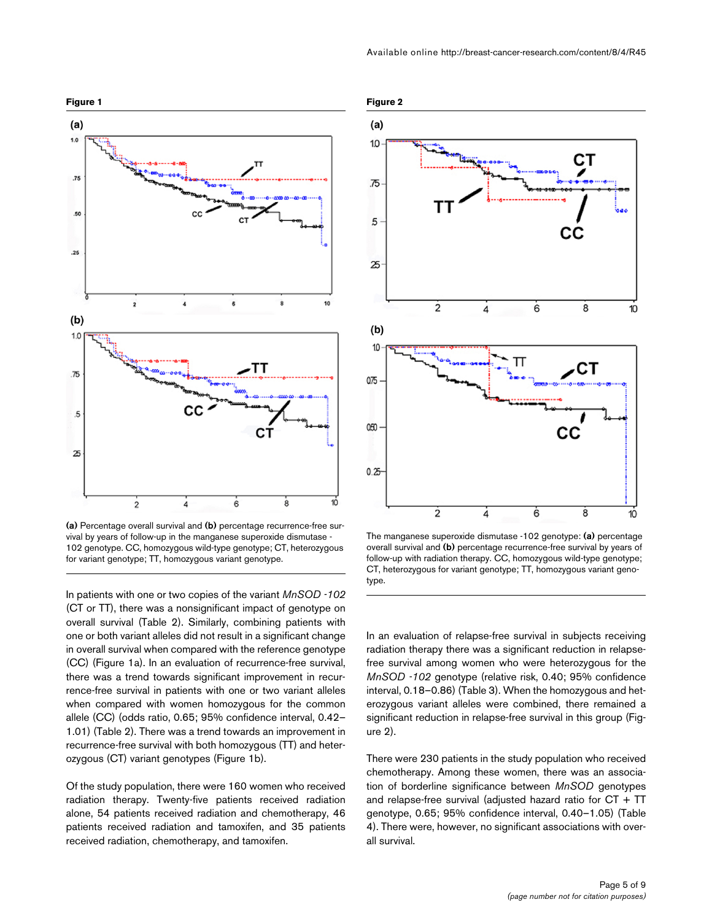



(a) Percentage overall survival and (b) percentage recurrence-free survival by years of follow-up in the manganese superoxide dismutase - 102 genotype. CC, homozygous wild-type genotype; CT, heterozygous for variant genotype; TT, homozygous variant genotype.

In patients with one or two copies of the variant *MnSOD -102* (CT or TT), there was a nonsignificant impact of genotype on overall survival (Table 2). Similarly, combining patients with one or both variant alleles did not result in a significant change in overall survival when compared with the reference genotype (CC) (Figure 1a). In an evaluation of recurrence-free survival, there was a trend towards significant improvement in recurrence-free survival in patients with one or two variant alleles when compared with women homozygous for the common allele (CC) (odds ratio, 0.65; 95% confidence interval, 0.42– 1.01) (Table 2). There was a trend towards an improvement in recurrence-free survival with both homozygous (TT) and heterozygous (CT) variant genotypes (Figure 1b).

Of the study population, there were 160 women who received radiation therapy. Twenty-five patients received radiation alone, 54 patients received radiation and chemotherapy, 46 patients received radiation and tamoxifen, and 35 patients received radiation, chemotherapy, and tamoxifen.



The manganese superoxide dismutase -102 genotype: (a) percentage overall survival and **(b)** percentage recurrence-free survival by years of follow-up with radiation therapy. CC, homozygous wild-type genotype; CT, heterozygous for variant genotype; TT, homozygous variant genotype.

In an evaluation of relapse-free survival in subjects receiving radiation therapy there was a significant reduction in relapsefree survival among women who were heterozygous for the *MnSOD -102* genotype (relative risk, 0.40; 95% confidence interval, 0.18–0.86) (Table 3). When the homozygous and heterozygous variant alleles were combined, there remained a significant reduction in relapse-free survival in this group (Figure 2).

There were 230 patients in the study population who received chemotherapy. Among these women, there was an association of borderline significance between *MnSOD* genotypes and relapse-free survival (adjusted hazard ratio for CT + TT genotype, 0.65; 95% confidence interval, 0.40–1.05) (Table 4). There were, however, no significant associations with overall survival.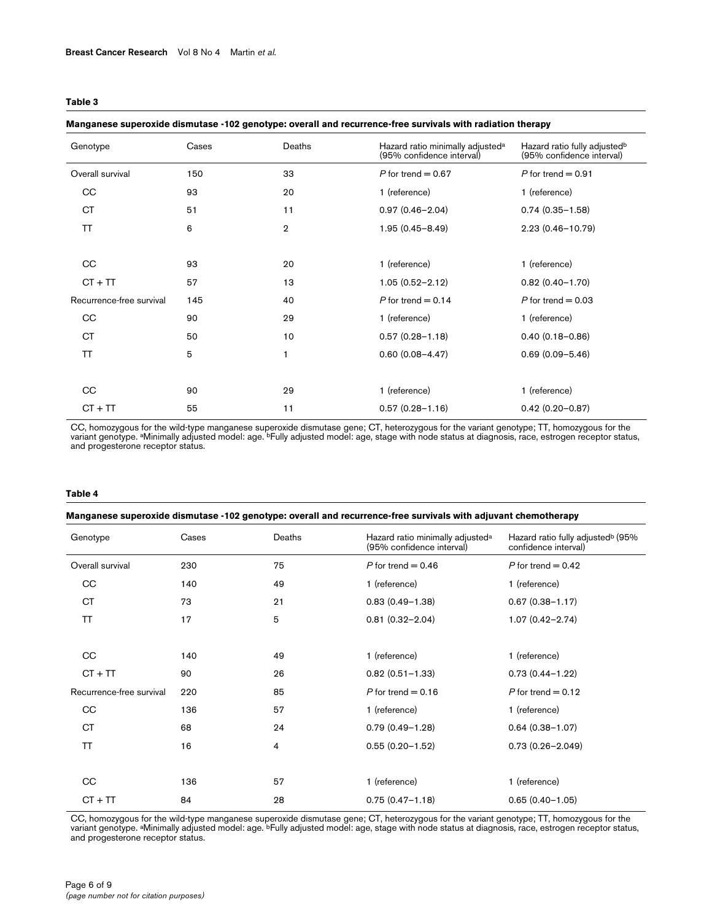|--|--|--|

#### **Manganese superoxide dismutase -102 genotype: overall and recurrence-free survivals with radiation therapy**

| Genotype                 | Cases | Deaths         | Hazard ratio minimally adjusted <sup>a</sup><br>(95% confidence interval) | Hazard ratio fully adjusted <sup>b</sup><br>(95% confidence interval) |
|--------------------------|-------|----------------|---------------------------------------------------------------------------|-----------------------------------------------------------------------|
| Overall survival         | 150   | 33             | P for trend $= 0.67$                                                      | P for trend $= 0.91$                                                  |
| <sub>CC</sub>            | 93    | 20             | 1 (reference)                                                             | 1 (reference)                                                         |
| СT                       | 51    | 11             | $0.97(0.46 - 2.04)$                                                       | $0.74(0.35 - 1.58)$                                                   |
| <b>TT</b>                | 6     | $\overline{2}$ | $1.95(0.45 - 8.49)$                                                       | $2.23(0.46 - 10.79)$                                                  |
|                          |       |                |                                                                           |                                                                       |
| CC                       | 93    | 20             | 1 (reference)                                                             | 1 (reference)                                                         |
| $CT + TT$                | 57    | 13             | $1.05(0.52 - 2.12)$                                                       | $0.82(0.40 - 1.70)$                                                   |
| Recurrence-free survival | 145   | 40             | P for trend $= 0.14$                                                      | P for trend $= 0.03$                                                  |
| CC                       | 90    | 29             | 1 (reference)                                                             | 1 (reference)                                                         |
| <b>CT</b>                | 50    | 10             | $0.57(0.28 - 1.18)$                                                       | $0.40(0.18 - 0.86)$                                                   |
| <b>TT</b>                | 5     | 1              | $0.60(0.08 - 4.47)$                                                       | $0.69(0.09 - 5.46)$                                                   |
|                          |       |                |                                                                           |                                                                       |
| <b>CC</b>                | 90    | 29             | 1 (reference)                                                             | 1 (reference)                                                         |
| $CT + TT$                | 55    | 11             | $0.57(0.28 - 1.16)$                                                       | $0.42(0.20 - 0.87)$                                                   |

CC, homozygous for the wild-type manganese superoxide dismutase gene; CT, heterozygous for the variant genotype; TT, homozygous for the<br>variant genotype. ªMinimally adjusted model: age. <sup>b</sup>Fully adjusted model: age, stage

#### **Table 4**

# **Manganese superoxide dismutase -102 genotype: overall and recurrence-free survivals with adjuvant chemotherapy**

| Genotype                 | Cases | Deaths | Hazard ratio minimally adjusted <sup>a</sup><br>(95% confidence interval) | Hazard ratio fully adjusted <sup>b</sup> (95%<br>confidence interval) |
|--------------------------|-------|--------|---------------------------------------------------------------------------|-----------------------------------------------------------------------|
| Overall survival         | 230   | 75     | P for trend $= 0.46$                                                      | P for trend $= 0.42$                                                  |
| CC                       | 140   | 49     | 1 (reference)                                                             | 1 (reference)                                                         |
| CT                       | 73    | 21     | $0.83(0.49 - 1.38)$                                                       | $0.67(0.38 - 1.17)$                                                   |
| <b>TT</b>                | 17    | 5      | $0.81(0.32 - 2.04)$                                                       | $1.07(0.42 - 2.74)$                                                   |
|                          |       |        |                                                                           |                                                                       |
| CC                       | 140   | 49     | 1 (reference)                                                             | 1 (reference)                                                         |
| $CT + TT$                | 90    | 26     | $0.82(0.51 - 1.33)$                                                       | $0.73(0.44 - 1.22)$                                                   |
| Recurrence-free survival | 220   | 85     | P for trend $= 0.16$                                                      | P for trend $= 0.12$                                                  |
| CC                       | 136   | 57     | 1 (reference)                                                             | 1 (reference)                                                         |
| <b>CT</b>                | 68    | 24     | $0.79(0.49 - 1.28)$                                                       | $0.64(0.38 - 1.07)$                                                   |
| <b>TT</b>                | 16    | 4      | $0.55(0.20 - 1.52)$                                                       | $0.73(0.26 - 2.049)$                                                  |
|                          |       |        |                                                                           |                                                                       |
| CC                       | 136   | 57     | 1 (reference)                                                             | 1 (reference)                                                         |
| $CT + TT$                | 84    | 28     | $0.75(0.47 - 1.18)$                                                       | $0.65(0.40 - 1.05)$                                                   |

CC, homozygous for the wild-type manganese superoxide dismutase gene; CT, heterozygous for the variant genotype; TT, homozygous for the<br>variant genotype. ªMinimally adjusted model: age. <sup>b</sup>Fully adjusted model: age, stage and progesterone receptor status.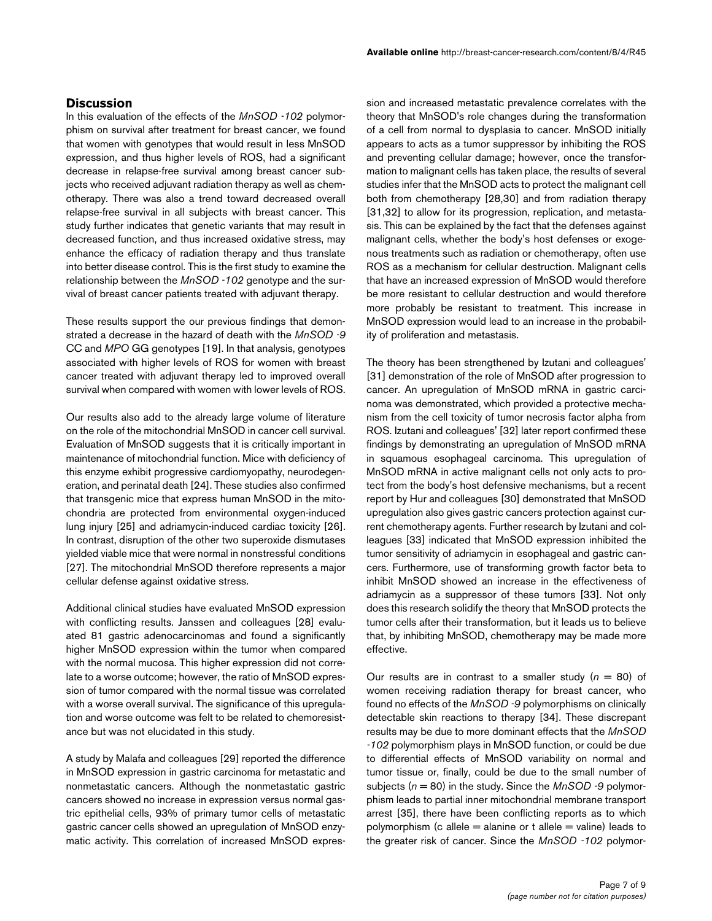## **Discussion**

In this evaluation of the effects of the *MnSOD -102* polymorphism on survival after treatment for breast cancer, we found that women with genotypes that would result in less MnSOD expression, and thus higher levels of ROS, had a significant decrease in relapse-free survival among breast cancer subjects who received adjuvant radiation therapy as well as chemotherapy. There was also a trend toward decreased overall relapse-free survival in all subjects with breast cancer. This study further indicates that genetic variants that may result in decreased function, and thus increased oxidative stress, may enhance the efficacy of radiation therapy and thus translate into better disease control. This is the first study to examine the relationship between the *MnSOD -102* genotype and the survival of breast cancer patients treated with adjuvant therapy.

These results support the our previous findings that demonstrated a decrease in the hazard of death with the *MnSOD -9* CC and *MPO* GG genotypes [19]. In that analysis, genotypes associated with higher levels of ROS for women with breast cancer treated with adjuvant therapy led to improved overall survival when compared with women with lower levels of ROS.

Our results also add to the already large volume of literature on the role of the mitochondrial MnSOD in cancer cell survival. Evaluation of MnSOD suggests that it is critically important in maintenance of mitochondrial function. Mice with deficiency of this enzyme exhibit progressive cardiomyopathy, neurodegeneration, and perinatal death [24]. These studies also confirmed that transgenic mice that express human MnSOD in the mitochondria are protected from environmental oxygen-induced lung injury [25] and adriamycin-induced cardiac toxicity [26]. In contrast, disruption of the other two superoxide dismutases yielded viable mice that were normal in nonstressful conditions [27]. The mitochondrial MnSOD therefore represents a major cellular defense against oxidative stress.

Additional clinical studies have evaluated MnSOD expression with conflicting results. Janssen and colleagues [28] evaluated 81 gastric adenocarcinomas and found a significantly higher MnSOD expression within the tumor when compared with the normal mucosa. This higher expression did not correlate to a worse outcome; however, the ratio of MnSOD expression of tumor compared with the normal tissue was correlated with a worse overall survival. The significance of this upregulation and worse outcome was felt to be related to chemoresistance but was not elucidated in this study.

A study by Malafa and colleagues [29] reported the difference in MnSOD expression in gastric carcinoma for metastatic and nonmetastatic cancers. Although the nonmetastatic gastric cancers showed no increase in expression versus normal gastric epithelial cells, 93% of primary tumor cells of metastatic gastric cancer cells showed an upregulation of MnSOD enzymatic activity. This correlation of increased MnSOD expres-

sion and increased metastatic prevalence correlates with the theory that MnSOD's role changes during the transformation of a cell from normal to dysplasia to cancer. MnSOD initially appears to acts as a tumor suppressor by inhibiting the ROS and preventing cellular damage; however, once the transformation to malignant cells has taken place, the results of several studies infer that the MnSOD acts to protect the malignant cell both from chemotherapy [28,30] and from radiation therapy [31,32] to allow for its progression, replication, and metastasis. This can be explained by the fact that the defenses against malignant cells, whether the body's host defenses or exogenous treatments such as radiation or chemotherapy, often use ROS as a mechanism for cellular destruction. Malignant cells that have an increased expression of MnSOD would therefore be more resistant to cellular destruction and would therefore more probably be resistant to treatment. This increase in MnSOD expression would lead to an increase in the probability of proliferation and metastasis.

The theory has been strengthened by Izutani and colleagues' [31] demonstration of the role of MnSOD after progression to cancer. An upregulation of MnSOD mRNA in gastric carcinoma was demonstrated, which provided a protective mechanism from the cell toxicity of tumor necrosis factor alpha from ROS. Izutani and colleagues' [32] later report confirmed these findings by demonstrating an upregulation of MnSOD mRNA in squamous esophageal carcinoma. This upregulation of MnSOD mRNA in active malignant cells not only acts to protect from the body's host defensive mechanisms, but a recent report by Hur and colleagues [30] demonstrated that MnSOD upregulation also gives gastric cancers protection against current chemotherapy agents. Further research by Izutani and colleagues [33] indicated that MnSOD expression inhibited the tumor sensitivity of adriamycin in esophageal and gastric cancers. Furthermore, use of transforming growth factor beta to inhibit MnSOD showed an increase in the effectiveness of adriamycin as a suppressor of these tumors [33]. Not only does this research solidify the theory that MnSOD protects the tumor cells after their transformation, but it leads us to believe that, by inhibiting MnSOD, chemotherapy may be made more effective.

Our results are in contrast to a smaller study  $(n = 80)$  of women receiving radiation therapy for breast cancer, who found no effects of the *MnSOD -9* polymorphisms on clinically detectable skin reactions to therapy [34]. These discrepant results may be due to more dominant effects that the *MnSOD -102* polymorphism plays in MnSOD function, or could be due to differential effects of MnSOD variability on normal and tumor tissue or, finally, could be due to the small number of subjects (*n* = 80) in the study. Since the *MnSOD -9* polymorphism leads to partial inner mitochondrial membrane transport arrest [35], there have been conflicting reports as to which polymorphism (c allele  $=$  alanine or t allele  $=$  valine) leads to the greater risk of cancer. Since the *MnSOD -102* polymor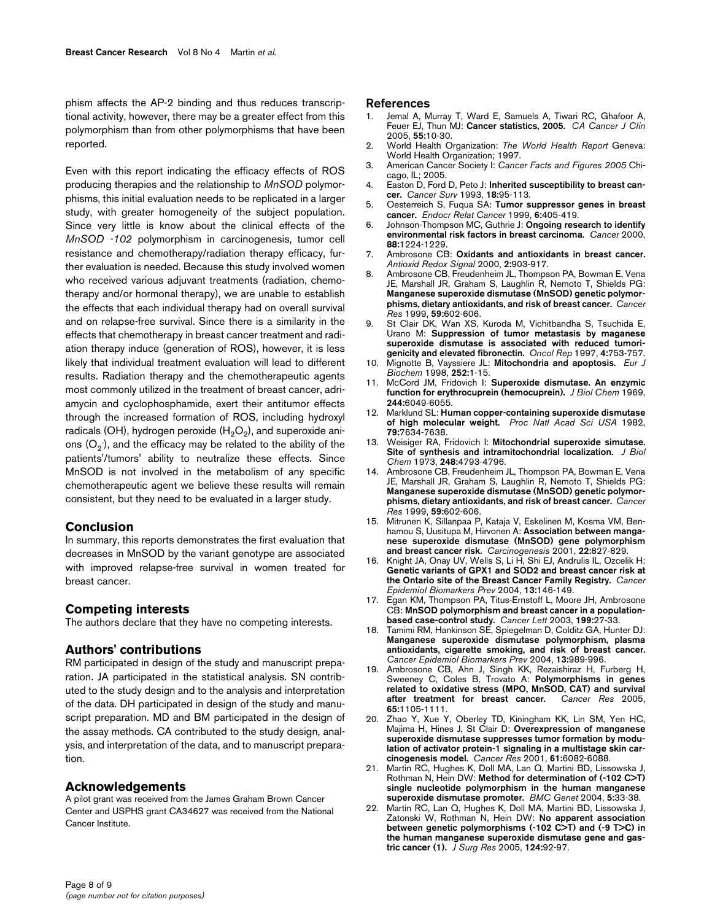phism affects the AP-2 binding and thus reduces transcriptional activity, however, there may be a greater effect from this polymorphism than from other polymorphisms that have been reported.

Even with this report indicating the efficacy effects of ROS producing therapies and the relationship to *MnSOD* polymorphisms, this initial evaluation needs to be replicated in a larger study, with greater homogeneity of the subject population. Since very little is know about the clinical effects of the *MnSOD -102* polymorphism in carcinogenesis, tumor cell resistance and chemotherapy/radiation therapy efficacy, further evaluation is needed. Because this study involved women who received various adjuvant treatments (radiation, chemotherapy and/or hormonal therapy), we are unable to establish the effects that each individual therapy had on overall survival and on relapse-free survival. Since there is a similarity in the effects that chemotherapy in breast cancer treatment and radiation therapy induce (generation of ROS), however, it is less likely that individual treatment evaluation will lead to different results. Radiation therapy and the chemotherapeutic agents most commonly utilized in the treatment of breast cancer, adriamycin and cyclophosphamide, exert their antitumor effects through the increased formation of ROS, including hydroxyl radicals (OH), hydrogen peroxide  $(H<sub>2</sub>O<sub>2</sub>)$ , and superoxide anions (O $_2$ ), and the efficacy may be related to the ability of the patients'/tumors' ability to neutralize these effects. Since MnSOD is not involved in the metabolism of any specific chemotherapeutic agent we believe these results will remain consistent, but they need to be evaluated in a larger study.

## **Conclusion**

In summary, this reports demonstrates the first evaluation that decreases in MnSOD by the variant genotype are associated with improved relapse-free survival in women treated for breast cancer.

## **Competing interests**

The authors declare that they have no competing interests.

## **Authors' contributions**

RM participated in design of the study and manuscript preparation. JA participated in the statistical analysis. SN contributed to the study design and to the analysis and interpretation of the data. DH participated in design of the study and manuscript preparation. MD and BM participated in the design of the assay methods. CA contributed to the study design, analysis, and interpretation of the data, and to manuscript preparation.

## **Acknowledgements**

A pilot grant was received from the James Graham Brown Cancer Center and USPHS grant CA34627 was received from the National Cancer Institute.

#### **References**

- Jemal A, Murray T, Ward E, Samuels A, Tiwari RC, Ghafoor A, Feuer EJ, Thun MJ: **[Cancer statistics, 2005.](http://www.ncbi.nlm.nih.gov/entrez/query.fcgi?cmd=Retrieve&db=PubMed&dopt=Abstract&list_uids=15661684)** *CA Cancer J Clin* 2005, **55:**10-30.
- 2. World Health Organization: *The World Health Report* Geneva: World Health Organization; 1997.
- 3. American Cancer Society I: *Cancer Facts and Figures 2005* Chicago, IL; 2005.
- 4. Easton D, Ford D, Peto J: **[Inherited susceptibility to breast can](http://www.ncbi.nlm.nih.gov/entrez/query.fcgi?cmd=Retrieve&db=PubMed&dopt=Abstract&list_uids=8013003)[cer.](http://www.ncbi.nlm.nih.gov/entrez/query.fcgi?cmd=Retrieve&db=PubMed&dopt=Abstract&list_uids=8013003)** *Cancer Surv* 1993, **18:**95-113.
- 5. Oesterreich S, Fuqua SA: **[Tumor suppressor genes in breast](http://www.ncbi.nlm.nih.gov/entrez/query.fcgi?cmd=Retrieve&db=PubMed&dopt=Abstract&list_uids=10516854) [cancer.](http://www.ncbi.nlm.nih.gov/entrez/query.fcgi?cmd=Retrieve&db=PubMed&dopt=Abstract&list_uids=10516854)** *Endocr Relat Cancer* 1999, **6:**405-419.
- 6. Johnson-Thompson MC, Guthrie J: **[Ongoing research to identify](http://www.ncbi.nlm.nih.gov/entrez/query.fcgi?cmd=Retrieve&db=PubMed&dopt=Abstract&list_uids=10705359) [environmental risk factors in breast carcinoma.](http://www.ncbi.nlm.nih.gov/entrez/query.fcgi?cmd=Retrieve&db=PubMed&dopt=Abstract&list_uids=10705359)** *Cancer* 2000, **88:**1224-1229.
- 7. Ambrosone CB: **[Oxidants and antioxidants in breast cancer.](http://www.ncbi.nlm.nih.gov/entrez/query.fcgi?cmd=Retrieve&db=PubMed&dopt=Abstract&list_uids=11213491)** *Antioxid Redox Signal* 2000, **2:**903-917.
- 8. Ambrosone CB, Freudenheim JL, Thompson PA, Bowman E, Vena JE, Marshall JR, Graham S, Laughlin R, Nemoto T, Shields PG: **[Manganese superoxide dismutase \(MnSOD\) genetic polymor](http://www.ncbi.nlm.nih.gov/entrez/query.fcgi?cmd=Retrieve&db=PubMed&dopt=Abstract&list_uids=9973207)[phisms, dietary antioxidants, and risk of breast cancer.](http://www.ncbi.nlm.nih.gov/entrez/query.fcgi?cmd=Retrieve&db=PubMed&dopt=Abstract&list_uids=9973207)** *Cancer Res* 1999, **59:**602-606.
- 9. St Clair DK, Wan XS, Kuroda M, Vichitbandha S, Tsuchida E, Urano M: **Suppression of tumor metastasis by maganese superoxide dismutase is associated with reduced tumorigenicity and elevated fibronectin.** *Oncol Rep* 1997, **4:**753-757.
- 10. Mignotte B, Vayssiere JL: **[Mitochondria and apoptosis.](http://www.ncbi.nlm.nih.gov/entrez/query.fcgi?cmd=Retrieve&db=PubMed&dopt=Abstract&list_uids=9523706)** *Eur J Biochem* 1998, **252:**1-15.
- 11. McCord JM, Fridovich I: **[Superoxide dismutase. An enzymic](http://www.ncbi.nlm.nih.gov/entrez/query.fcgi?cmd=Retrieve&db=PubMed&dopt=Abstract&list_uids=5389100) [function for erythrocuprein \(hemocuprein\).](http://www.ncbi.nlm.nih.gov/entrez/query.fcgi?cmd=Retrieve&db=PubMed&dopt=Abstract&list_uids=5389100)** *J Biol Chem* 1969, **244:**6049-6055.
- 12. Marklund SL: **[Human copper-containing superoxide dismutase](http://www.ncbi.nlm.nih.gov/entrez/query.fcgi?cmd=Retrieve&db=PubMed&dopt=Abstract&list_uids=6961438) [of high molecular weight.](http://www.ncbi.nlm.nih.gov/entrez/query.fcgi?cmd=Retrieve&db=PubMed&dopt=Abstract&list_uids=6961438)** *Proc Natl Acad Sci USA* 1982, **79:**7634-7638.
- 13. Weisiger RA, Fridovich I: **[Mitochondrial superoxide simutase.](http://www.ncbi.nlm.nih.gov/entrez/query.fcgi?cmd=Retrieve&db=PubMed&dopt=Abstract&list_uids=4578091) [Site of synthesis and intramitochondrial localization.](http://www.ncbi.nlm.nih.gov/entrez/query.fcgi?cmd=Retrieve&db=PubMed&dopt=Abstract&list_uids=4578091)** *J Biol Chem* 1973, **248:**4793-4796.
- 14. Ambrosone CB, Freudenheim JL, Thompson PA, Bowman E, Vena JE, Marshall JR, Graham S, Laughlin R, Nemoto T, Shields PG: **[Manganese superoxide dismutase \(MnSOD\) genetic polymor](http://www.ncbi.nlm.nih.gov/entrez/query.fcgi?cmd=Retrieve&db=PubMed&dopt=Abstract&list_uids=9973207)[phisms, dietary antioxidants, and risk of breast cancer.](http://www.ncbi.nlm.nih.gov/entrez/query.fcgi?cmd=Retrieve&db=PubMed&dopt=Abstract&list_uids=9973207)** *Cancer Res* 1999, **59:**602-606.
- 15. Mitrunen K, Sillanpaa P, Kataja V, Eskelinen M, Kosma VM, Benhamou S, Uusitupa M, Hirvonen A: **[Association between manga](http://www.ncbi.nlm.nih.gov/entrez/query.fcgi?cmd=Retrieve&db=PubMed&dopt=Abstract&list_uids=11323405)[nese superoxide dismutase \(MnSOD\) gene polymorphism](http://www.ncbi.nlm.nih.gov/entrez/query.fcgi?cmd=Retrieve&db=PubMed&dopt=Abstract&list_uids=11323405) [and breast cancer risk.](http://www.ncbi.nlm.nih.gov/entrez/query.fcgi?cmd=Retrieve&db=PubMed&dopt=Abstract&list_uids=11323405)** *Carcinogenesis* 2001, **22:**827-829.
- 16. Knight JA, Onay UV, Wells S, Li H, Shi EJ, Andrulis IL, Ozcelik H: **[Genetic variants of GPX1 and SOD2 and breast cancer risk at](http://www.ncbi.nlm.nih.gov/entrez/query.fcgi?cmd=Retrieve&db=PubMed&dopt=Abstract&list_uids=14744747) [the Ontario site of the Breast Cancer Family Registry.](http://www.ncbi.nlm.nih.gov/entrez/query.fcgi?cmd=Retrieve&db=PubMed&dopt=Abstract&list_uids=14744747)** *Cancer Epidemiol Biomarkers Prev* 2004, **13:**146-149.
- 17. Egan KM, Thompson PA, Titus-Ernstoff L, Moore JH, Ambrosone CB: **[MnSOD polymorphism and breast cancer in a population](http://www.ncbi.nlm.nih.gov/entrez/query.fcgi?cmd=Retrieve&db=PubMed&dopt=Abstract&list_uids=12963120)[based case-control study.](http://www.ncbi.nlm.nih.gov/entrez/query.fcgi?cmd=Retrieve&db=PubMed&dopt=Abstract&list_uids=12963120)** *Cancer Lett* 2003, **199:**27-33.
- 18. Tamimi RM, Hankinson SE, Spiegelman D, Colditz GA, Hunter DJ: **Manganese superoxide dismutase polymorphism, plasma [antioxidants, cigarette smoking, and risk of breast cancer.](http://www.ncbi.nlm.nih.gov/entrez/query.fcgi?cmd=Retrieve&db=PubMed&dopt=Abstract&list_uids=15184255)** *Cancer Epidemiol Biomarkers Prev* 2004, **13:**989-996.
- 19. Ambrosone CB, Ahn J, Singh KK, Rezaishiraz H, Furberg H, Sweeney C, Coles B, Trovato A: **[Polymorphisms in genes](http://www.ncbi.nlm.nih.gov/entrez/query.fcgi?cmd=Retrieve&db=PubMed&dopt=Abstract&list_uids=15705913) [related to oxidative stress \(MPO, MnSOD, CAT\) and survival](http://www.ncbi.nlm.nih.gov/entrez/query.fcgi?cmd=Retrieve&db=PubMed&dopt=Abstract&list_uids=15705913) [after treatment for breast cancer.](http://www.ncbi.nlm.nih.gov/entrez/query.fcgi?cmd=Retrieve&db=PubMed&dopt=Abstract&list_uids=15705913)** *Cancer Res* 2005, **65:**1105-1111.
- 20. Zhao Y, Xue Y, Oberley TD, Kiningham KK, Lin SM, Yen HC, Majima H, Hines J, St Clair D: **[Overexpression of manganese](http://www.ncbi.nlm.nih.gov/entrez/query.fcgi?cmd=Retrieve&db=PubMed&dopt=Abstract&list_uids=11507057) superoxide dismutase suppresses tumor formation by modu[lation of activator protein-1 signaling in a multistage skin car](http://www.ncbi.nlm.nih.gov/entrez/query.fcgi?cmd=Retrieve&db=PubMed&dopt=Abstract&list_uids=11507057)[cinogenesis model.](http://www.ncbi.nlm.nih.gov/entrez/query.fcgi?cmd=Retrieve&db=PubMed&dopt=Abstract&list_uids=11507057)** *Cancer Res* 2001, **61:**6082-6088.
- 21. Martin RC, Hughes K, Doll MA, Lan Q, Martini BD, Lissowska J, Rothman N, Hein DW: **[Method for determination of \(-102 C>T\)](http://www.ncbi.nlm.nih.gov/entrez/query.fcgi?cmd=Retrieve&db=PubMed&dopt=Abstract&list_uids=15598343) [single nucleotide polymorphism in the human manganese](http://www.ncbi.nlm.nih.gov/entrez/query.fcgi?cmd=Retrieve&db=PubMed&dopt=Abstract&list_uids=15598343) [superoxide dismutase promoter.](http://www.ncbi.nlm.nih.gov/entrez/query.fcgi?cmd=Retrieve&db=PubMed&dopt=Abstract&list_uids=15598343)** *BMC Genet* 2004, **5:**33-38.
- 22. Martin RC, Lan Q, Hughes K, Doll MA, Martini BD, Lissowska J, Zatonski W, Rothman N, Hein DW: **[No apparent association](http://www.ncbi.nlm.nih.gov/entrez/query.fcgi?cmd=Retrieve&db=PubMed&dopt=Abstract&list_uids=15734485) [between genetic polymorphisms \(-102 C>T\) and \(-9 T>C\) in](http://www.ncbi.nlm.nih.gov/entrez/query.fcgi?cmd=Retrieve&db=PubMed&dopt=Abstract&list_uids=15734485) the human manganese superoxide dismutase gene and gas[tric cancer \(1\).](http://www.ncbi.nlm.nih.gov/entrez/query.fcgi?cmd=Retrieve&db=PubMed&dopt=Abstract&list_uids=15734485)** *J Surg Res* 2005, **124:**92-97.